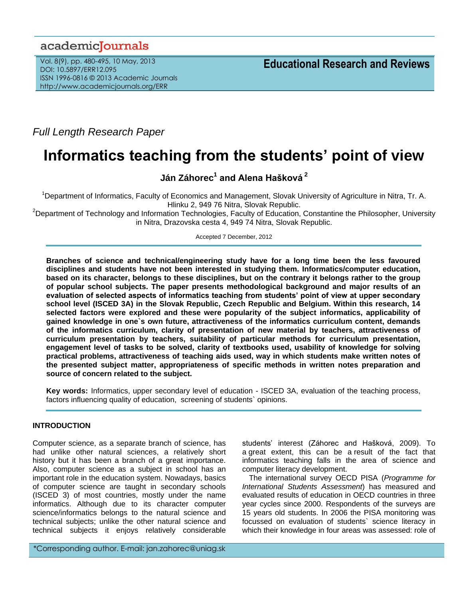# academiclournals

Vol. 8(9), pp. 480-495, 10 May, 2013 DOI: 10.5897/ERR12.095 ISSN 1996-0816 © 2013 Academic Journals http://www.academicjournals.org/ERR

*Full Length Research Paper*

# **Informatics teaching from the students' point of view**

**Ján Záhorec<sup>1</sup> and Alena Hašková <sup>2</sup>**

<sup>1</sup>Department of Informatics, Faculty of Economics and Management, Slovak University of Agriculture in Nitra, Tr. A. Hlinku 2, 949 76 Nitra, Slovak Republic.

<sup>2</sup>Department of Technology and Information Technologies, Faculty of Education, Constantine the Philosopher, University in Nitra, Drazovska cesta 4, 949 74 Nitra, Slovak Republic.

Accepted 7 December, 2012

**Branches of science and technical/engineering study have for a long time been the less favoured disciplines and students have not been interested in studying them. Informatics/computer education, based on its character, belongs to these disciplines, but on the contrary it belongs rather to the group of popular school subjects. The paper presents methodological background and major results of an evaluation of selected aspects of informatics teaching from students' point of view at upper secondary school level (ISCED 3A) in the Slovak Republic, Czech Republic and Belgium. Within this research, 14 selected factors were explored and these were popularity of the subject informatics, applicability of gained knowledge in one`s own future, attractiveness of the informatics curriculum content, demands of the informatics curriculum, clarity of presentation of new material by teachers, attractiveness of curriculum presentation by teachers, suitability of particular methods for curriculum presentation, engagement level of tasks to be solved, clarity of textbooks used, usability of knowledge for solving practical problems, attractiveness of teaching aids used, way in which students make written notes of the presented subject matter, appropriateness of specific methods in written notes preparation and source of concern related to the subject.** 

**Key words:** Informatics, upper secondary level of education - ISCED 3A, evaluation of the teaching process, factors influencing quality of education, screening of students` opinions.

## **INTRODUCTION**

Computer science, as a separate branch of science, has had unlike other natural sciences, a relatively short history but it has been a branch of a great importance. Also, computer science as a subject in school has an important role in the education system. Nowadays, basics of computer science are taught in secondary schools (ISCED 3) of most countries, mostly under the name informatics. Although due to its character computer science/informatics belongs to the natural science and technical subjects; unlike the other natural science and technical subjects it enjoys relatively considerable

students' interest (Záhorec and Hašková, 2009). To a great extent, this can be a result of the fact that informatics teaching falls in the area of science and computer literacy development.

The international survey OECD PISA (*Programme for International Students Assessment*) has measured and evaluated results of education in OECD countries in three year cycles since 2000. Respondents of the surveys are 15 years old students. In 2006 the PISA monitoring was focussed on evaluation of students` science literacy in which their knowledge in four areas was assessed: role of

\*Corresponding author. E-mail: jan.zahorec@uniag.sk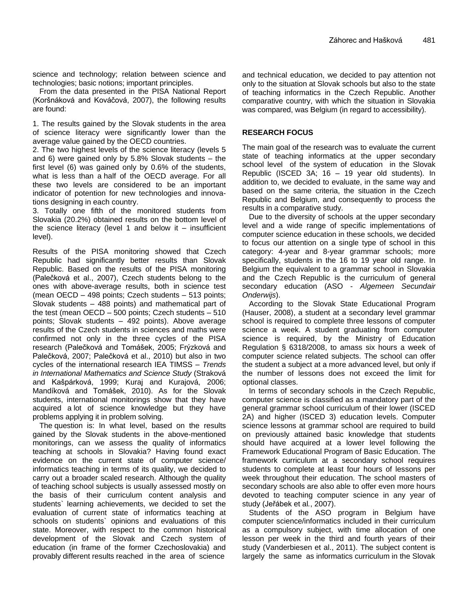science and technology; relation between science and technologies; basic notions; important principles.

From the data presented in the PISA National Report (Koršnáková and Kováčová, 2007), the following results are found:

1. The results gained by the Slovak students in the area of science literacy were significantly lower than the average value gained by the OECD countries.

2. The two highest levels of the science literacy (levels 5 and 6) were gained only by 5.8% Slovak students – the first level (6) was gained only by 0.6% of the students, what is less than a half of the OECD average. For all these two levels are considered to be an important indicator of potention for new technologies and innovations designing in each country.

3. Totally one fifth of the monitored students from Slovakia (20.2%) obtained results on the bottom level of the science literacy (level 1 and below it  $-$  insufficient level).

Results of the PISA monitoring showed that Czech Republic had significantly better results than Slovak Republic. Based on the results of the PISA monitoring (Palečková et al., 2007), Czech students belong to the ones with above-average results, both in science test (mean OECD – 498 points; Czech students – 513 points; Slovak students – 488 points) and mathematical part of the test (mean OECD – 500 points; Czech students – 510 points; Slovak students – 492 points). Above average results of the Czech students in sciences and maths were confirmed not only in the three cycles of the PISA research (Palečková and Tomášek, 2005; Frýzková and Palečková, 2007; Palečková et al., 2010) but also in two cycles of the international research IEA TIMSS – *Trends in International Mathematics and Science Study* (Straková and Kašpárková, 1999; Kuraj and Kurajová, 2006; Mandíková and Tomášek, 2010). As for the Slovak students, international monitorings show that they have acquired a lot of science knowledge but they have problems applying it in problem solving.

The question is: In what level, based on the results gained by the Slovak students in the above-mentioned monitorings, can we assess the quality of informatics teaching at schools in Slovakia? Having found exact evidence on the current state of computer science/ informatics teaching in terms of its quality, we decided to carry out a broader scaled research. Although the quality of teaching school subjects is usually assessed mostly on the basis of their curriculum content analysis and students` learning achievements, we decided to set the evaluation of current state of informatics teaching at schools on students` opinions and evaluations of this state. Moreover, with respect to the common historical development of the Slovak and Czech system of education (in frame of the former Czechoslovakia) and provably different results reached in the area of science

and technical education, we decided to pay attention not only to the situation at Slovak schools but also to the state of teaching informatics in the Czech Republic. Another comparative country, with which the situation in Slovakia was compared, was Belgium (in regard to accessibility).

# **RESEARCH FOCUS**

The main goal of the research was to evaluate the current state of teaching informatics at the upper secondary school level of the system of education in the Slovak Republic (ISCED 3A; 16 – 19 year old students). In addition to, we decided to evaluate, in the same way and based on the same criteria, the situation in the Czech Republic and Belgium, and consequently to process the results in a comparative study.

Due to the diversity of schools at the upper secondary level and a wide range of specific implementations of computer science education in these schools, we decided to focus our attention on a single type of school in this category: 4-year and 8-year grammar schools; more specifically, students in the 16 to 19 year old range. In Belgium the equivalent to a grammar school in Slovakia and the Czech Republic is the curriculum of general secondary education (ASO - *Algemeen Secundair Onderwijs*).

According to the Slovak State Educational Program (Hauser, 2008), a student at a secondary level grammar school is required to complete three lessons of computer science a week. A student graduating from computer science is required, by the Ministry of Education Regulation § 6318/2008, to amass six hours a week of computer science related subjects. The school can offer the student a subject at a more advanced level, but only if the number of lessons does not exceed the limit for optional classes.

In terms of secondary schools in the Czech Republic, computer science is classified as a mandatory part of the general grammar school curriculum of their lower (ISCED 2A) and higher (ISCED 3) education levels. Computer science lessons at grammar school are required to build on previously attained basic knowledge that students should have acquired at a lower level following the Framework Educational Program of Basic Education. The framework curriculum at a secondary school requires students to complete at least four hours of lessons per week throughout their education. The school masters of secondary schools are also able to offer even more hours devoted to teaching computer science in any year of study (Jeřábek et al*.*, 2007).

Students of the ASO program in Belgium have computer science/informatics included in their curriculum as a compulsory subject, with time allocation of one lesson per week in the third and fourth years of their study (Vanderbiesen et al., 2011). The subject content is largely the same as informatics curriculum in the Slovak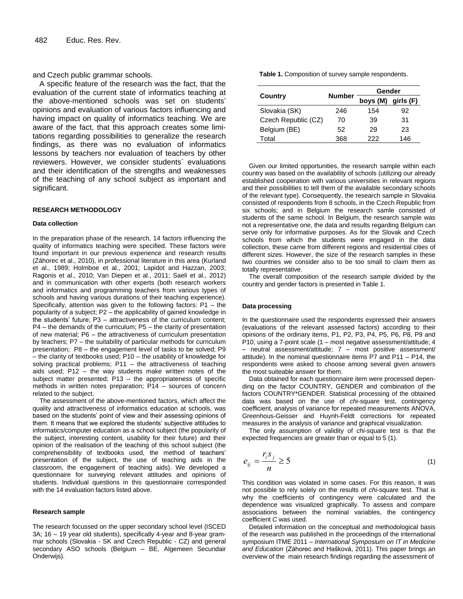and Czech public grammar schools.

A specific feature of the research was the fact, that the evaluation of the current state of informatics teaching at the above-mentioned schools was set on students' opinions and evaluation of various factors influencing and having impact on quality of informatics teaching. We are aware of the fact, that this approach creates some limitations regarding possibilities to generalize the research findings, as there was no evaluation of informatics lessons by teachers nor evaluation of teachers by other reviewers. However, we consider students` evaluations and their identification of the strengths and weaknesses of the teaching of any school subject as important and significant.

#### **RESEARCH METHODOLOGY**

#### **Data collection**

In the preparation phase of the research, 14 factors influencing the quality of informatics teaching were specified. These factors were found important in our previous experience and research results (Záhorec et al., 2010), in professional literature in this area (Kurland et al., 1989; Holmboe et al., 2001; Lapidot and Hazzan, 2003; Ragonis et al., 2010; Van Diepen et al., 2011; Saeli et al., 2012) and in communication with other experts (both research workers and informatics and programming teachers from various types of schools and having various durations of their teaching experience). Specifically, attention was given to the following factors: P1 – the popularity of a subject; P2 – the applicability of gained knowledge in the students' future; P3 – attractiveness of the curriculum content; P4 – the demands of the curriculum; P5 – the clarity of presentation of new material; P6 – the attractiveness of curriculum presentation by teachers; P7 – the suitability of particular methods for curriculum presentation; P8 – the engagement level of tasks to be solved; P9 – the clarity of textbooks used; P10 – the usability of knowledge for solving practical problems; P11 – the attractiveness of teaching aids used; P12 – the way students make written notes of the subject matter presented; P13 – the appropriateness of specific methods in written notes preparation; P14 – sources of concern related to the subject.

The assessment of the above-mentioned factors, which affect the quality and attractiveness of informatics education at schools, was based on the students' point of view and their assessing opinions of them. It means that we explored the students' subjective attitudes to informatics/computer education as a school subject (the popularity of the subject, interesting content, usability for their future) and their opinion of the realisation of the teaching of this school subject (the comprehensibility of textbooks used, the method of teachers' presentation of the subject, the use of teaching aids in the classroom, the engagement of teaching aids). We developed a questionnaire for surveying relevant attitudes and opinions of students. Individual questions in this questionnaire corresponded with the 14 evaluation factors listed above.

#### **Research sample**

The research focussed on the upper secondary school level (ISCED 3A; 16 – 19 year old students), specifically 4-year and 8-year grammar schools (Slovakia - SK and Czech Republic - CZ) and general secondary ASO schools (Belgium – BE, Algemeen Secundair Onderwijs).

**Table 1.** Composition of survey sample respondents.

|                     |               | Gender             |     |  |
|---------------------|---------------|--------------------|-----|--|
| Country             | <b>Number</b> | boys (M) girls (F) |     |  |
| Slovakia (SK)       | 246           | 154                | 92  |  |
| Czech Republic (CZ) | 70            | 39                 | 31  |  |
| Belgium (BE)        | 52            | 29                 | 23  |  |
| T∩tal               | 368           | 222                | 146 |  |

Given our limited opportunities, the research sample within each country was based on the availability of schools (utilizing our already established cooperation with various universities in relevant regions and their possibilities to tell them of the available secondary schools of the relevant type). Consequently, the research sample in Slovakia consisted of respondents from 8 schools, in the Czech Republic from six schools; and in Belgium the research samle consisted of students of the same school. In Belgium, the research sample was not a representative one, the data and results regarding Belgium can serve only for informative purposes. As for the Slovak and Czech schools from which the students were engaged in the data collection, these came from different regions and residential cities of different sizes. However, the size of the research samples in these two countries we consider also to be too small to claim them as totally representative.

The overall composition of the research sample divided by the country and gender factors is presented in Table 1.

#### **Data processing**

In the questionnaire used the respondents expressed their answers (evaluations of the relevant assessed factors) according to their opinions of the ordinary items, P1, P2, P3, P4, P5, P6, P8, P9 and P10, using a 7-point scale (1 – most negative assessment/attitude; 4 – neutral assessment/attitude; 7 – most positive assessment/ attitude). In the nominal questionnaire items P7 and P11 – P14, the respondents were asked to choose among several given answers the most suiteable answer for them.

Data obtained for each questionnaire item were processed depending on the factor COUNTRY, GENDER and combination of the factors COUNTRY\*GENDER. Statistical processing of the obtained data was based on the use of *chi*-square test, contingency coefficient, analysis of variance for repeated measurements ANOVA, Greenhous-Geisser and Huynh-Feldt corrections for repeated measures in the analysis of variance and graphical visualization.

The only assumption of validity of *chi*-square test is that the expected frequencies are greater than or equal to 5 (1).

$$
e_{ij} = \frac{r_i s_j}{n} \ge 5
$$
 (1)

This condition was violated in some cases. For this reason, it was not possible to rely solely on the results of *chi*-square test. That is why the coefficients of contingency were calculated and the dependence was visualized graphically. To assess and compare associations between the nominal variables, the contingency coefficient *C* was used.

Detailed information on the conceptual and methodological basis of the research was published in the proceedings of the international symposium ITME 2011 – *International Symposium on IT in Medicine and Education* (Záhorec and Hašková, 2011). This paper brings an overview of the main research findings regarding the assessment of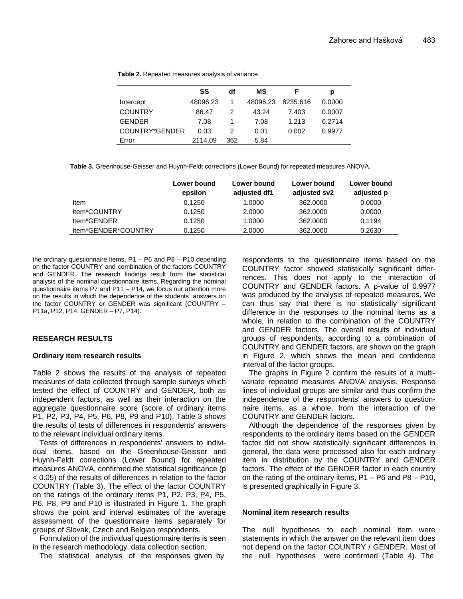|                | SS       | df  | МS       | F        | D      |
|----------------|----------|-----|----------|----------|--------|
| Intercept      | 48096.23 |     | 48096.23 | 8235.616 | 0.0000 |
| <b>COUNTRY</b> | 86.47    |     | 43.24    | 7.403    | 0.0007 |
| <b>GENDER</b>  | 7.08     |     | 7.08     | 1.213    | 0.2714 |
| COUNTRY*GENDER | 0.03     | 2   | 0.01     | 0.002    | 0.9977 |
| Error          | 2114.09  | 362 | 5.84     |          |        |

**Table 2.** Repeated measures analysis of variance.

**Table 3.** Greenhouse-Geisser and Huynh-Feldt corrections (Lower Bound) for repeated measures ANOVA.

|                     | Lower bound<br>epsilon | Lower bound<br>adjusted df1 | Lower bound<br>adiusted sv2 | Lower bound<br>adjusted p |
|---------------------|------------------------|-----------------------------|-----------------------------|---------------------------|
| Item                | 0.1250                 | 1.0000                      | 362,0000                    | 0.0000                    |
| Item*COUNTRY        | 0.1250                 | 2.0000                      | 362,0000                    | 0.0000                    |
| ltem*GENDER         | 0.1250                 | 1.0000                      | 362,0000                    | 0.1194                    |
| Item*GENDER*COUNTRY | 0.1250                 | 2.0000                      | 362,0000                    | 0.2630                    |

the ordinary questionnaire items, P1 – P6 and P8 – P10 depending on the factor COUNTRY and combination of the factors COUNTRY and GENDER. The research findings result from the statistical analysis of the nominal questionnaire items. Regarding the nominal questionnaire items P7 and P11 – P14, we focus our attention more on the results in which the dependence of the students` answers on the factor COUNTRY or GENDER was significant (COUNTRY – P11a, P12, P14; GENDER – P7, P14).

## **RESEARCH RESULTS**

#### **Ordinary item research results**

Table 2 shows the results of the analysis of repeated measures of data collected through sample surveys which tested the effect of COUNTRY and GENDER, both as independent factors, as well as their interaction on the aggregate questionnaire score (score of ordinary items P1, P2, P3, P4, P5, P6, P8, P9 and P10). Table 3 shows the results of tests of differences in respondents' answers to the relevant individual ordinary items.

Tests of differences in respondents' answers to individual items, based on the Greenhouse-Geisser and Huynh-Feldt corrections (Lower Bound) for repeated measures ANOVA, confirmed the statistical significance (p < 0.05) of the results of differences in relation to the factor COUNTRY (Table 3). The effect of the factor COUNTRY on the ratings of the ordinary items P1, P2, P3, P4, P5, P6, P8, P9 and P10 is illustrated in Figure 1. The graph shows the point and interval estimates of the average assessment of the questionnaire items separately for groups of Slovak, Czech and Belgian respondents.

Formulation of the individual questionnaire items is seen in the research methodology, data collection section.

The statistical analysis of the responses given by

respondents to the questionnaire items based on the COUNTRY factor showed statistically significant differrences. This does not apply to the interaction of COUNTRY and GENDER factors. A p-value of 0.9977 was produced by the analysis of repeated measures. We can thus say that there is no statistically significant difference in the responses to the nominal items as a whole, in relation to the combination of the COUNTRY and GENDER factors. The overall results of individual groups of respondents, according to a combination of COUNTRY and GENDER factors, are shown on the graph in Figure 2, which shows the mean and confidence interval of the factor groups.

The graphs in Figure 2 confirm the results of a multivariate repeated measures ANOVA analysis. Response lines of individual groups are similar and thus confirm the independence of the respondents' answers to questionnaire items, as a whole, from the interaction of the COUNTRY and GENDER factors.

Although the dependence of the responses given by respondents to the ordinary items based on the GENDER factor did not show statistically significant differences in general, the data were processed also for each ordinary item in distribution by the COUNTRY and GENDER factors. The effect of the GENDER factor in each country on the rating of the ordinary items, P1 – P6 and P8 – P10, is presented graphically in Figure 3.

#### **Nominal item research results**

The null hypotheses to each nominal item were statements in which the answer on the relevant item does not depend on the factor COUNTRY / GENDER. Most of the null hypotheses were confirmed (Table 4). The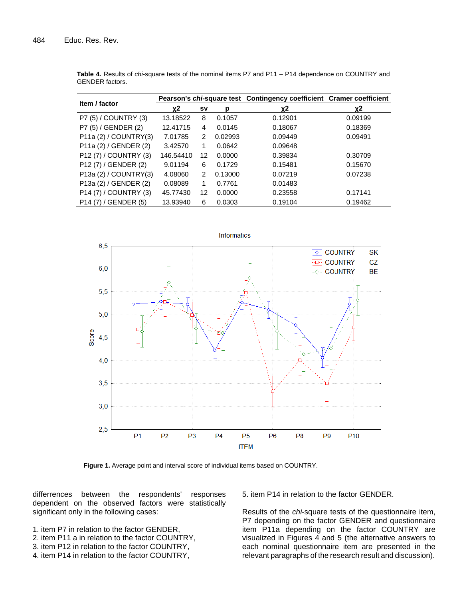| Item / factor                     | Pearson's chi-square test Contingency coefficient Cramer coefficient |               |         |         |         |
|-----------------------------------|----------------------------------------------------------------------|---------------|---------|---------|---------|
|                                   | χ2                                                                   | s٧            | р       | χ2      | χ2      |
| P7 (5) / COUNTRY (3)              | 13.18522                                                             | 8             | 0.1057  | 0.12901 | 0.09199 |
| P7 (5) / GENDER (2)               | 12.41715                                                             | 4             | 0.0145  | 0.18067 | 0.18369 |
| P11a (2) / COUNTRY(3)             | 7.01785                                                              | 2             | 0.02993 | 0.09449 | 0.09491 |
| P11a (2) / GENDER (2)             | 3.42570                                                              | 1             | 0.0642  | 0.09648 |         |
| P12 (7) / COUNTRY (3)             | 146.54410                                                            | 12            | 0.0000  | 0.39834 | 0.30709 |
| P <sub>12</sub> (7) / GENDER (2)  | 9.01194                                                              | 6             | 0.1729  | 0.15481 | 0.15670 |
| P13a (2) / COUNTRY(3)             | 4.08060                                                              | $\mathcal{P}$ | 0.13000 | 0.07219 | 0.07238 |
| P13a (2) / GENDER (2)             | 0.08089                                                              | 1             | 0.7761  | 0.01483 |         |
| P <sub>14</sub> (7) / COUNTRY (3) | 45.77430                                                             | 12            | 0.0000  | 0.23558 | 0.17141 |
| P <sub>14</sub> (7) / GENDER (5)  | 13.93940                                                             | 6             | 0.0303  | 0.19104 | 0.19462 |

**Table 4.** Results of *chi*-square tests of the nominal items P7 and P11 – P14 dependence on COUNTRY and GENDER factors.



**Figure 1.** Average point and interval score of individual items based on COUNTRY.

differrences between the respondents' responses dependent on the observed factors were statistically significant only in the following cases:

- 1. item P7 in relation to the factor GENDER,
- 2. item P11 a in relation to the factor COUNTRY,
- 3. item P12 in relation to the factor COUNTRY,
- 4. item P14 in relation to the factor COUNTRY,

5. item P14 in relation to the factor GENDER.

Results of the *chi*-square tests of the questionnaire item, P7 depending on the factor GENDER and questionnaire item P11a depending on the factor COUNTRY are visualized in Figures 4 and 5 (the alternative answers to each nominal questionnaire item are presented in the relevant paragraphs of the research result and discussion).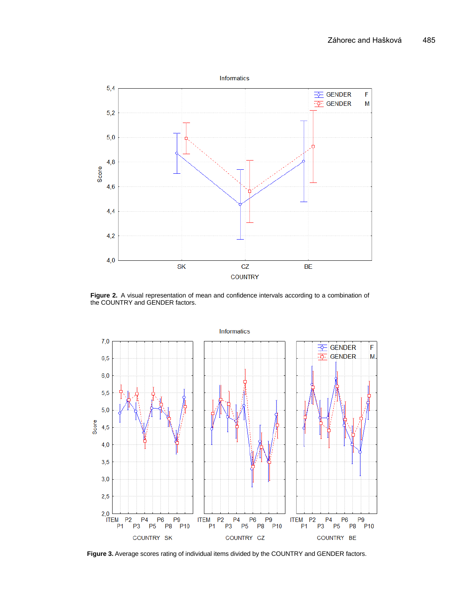

**Figure 2.** A visual representation of mean and confidence intervals according to a combination of the COUNTRY and GENDER factors.



**Figure 3.** Average scores rating of individual items divided by the COUNTRY and GENDER factors.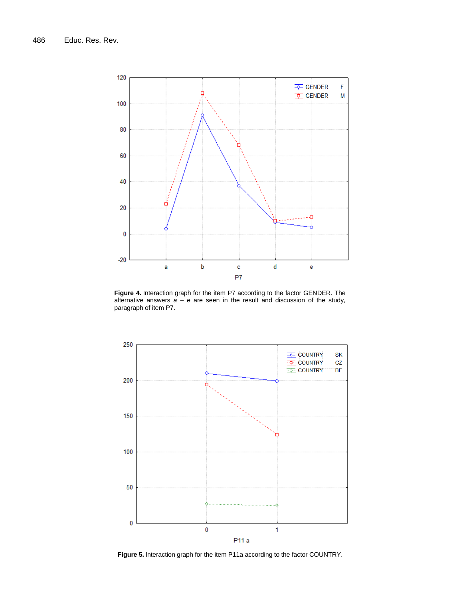

**Figure 4.** Interaction graph for the item P7 according to the factor GENDER. **Figure 4.** Interaction graph for the item P7 according to the factor GENDER. The alternative answers  $a - e$  are seen in the result and discussion of the study, paragraph of item P7.



**Figure 5.** Interaction graph for the item P11a according to the factor COUNTRY.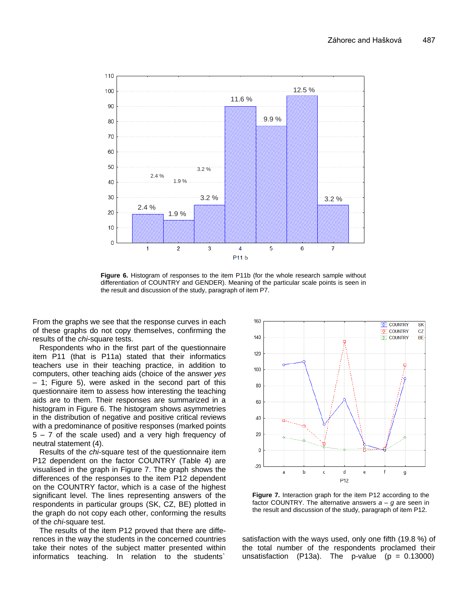

**Figure 6.** Histogram of responses to the item P11b (for the whole research sample without **Figure 6.** Histogram of responses to the item P11b (for the whole research sample without differentiation of COUNTRY and GENDER). differentiation of COUNTRY and GENDER). Meaning of the particular scale points is seen in the result and discussion of the study, paragraph of item P7.

From the graphs we see that the response curves in each of these graphs do not copy themselves, confirming the results of the *chi*-square tests.

Respondents who in the first part of the questionnaire item P11 (that is P11a) stated that their informatics teachers use in their teaching practice, in addition to computers, other teaching aids (choice of the answer *yes –* 1; Figure 5), were asked in the second part of this questionnaire item to assess how interesting the teaching aids are to them. Their responses are summarized in a histogram in Figure 6. The histogram shows asymmetries in the distribution of negative and positive critical reviews with a predominance of positive responses (marked points 5 – 7 of the scale used) and a very high frequency of neutral statement (4).

Results of the *chi*-square test of the questionnaire item P12 dependent on the factor COUNTRY (Table 4) are visualised in the graph in Figure 7. The graph shows the differences of the responses to the item P12 dependent on the COUNTRY factor, which is a case of the highest significant level. The lines representing answers of the respondents in particular groups (SK, CZ, BE) plotted in the graph do not copy each other, conforming the results fire result and discussion of the study, paragraph of them P12. of the *chi*-square test.

The results of the item P12 proved that there are differences in the way the students in the concerned countries take their notes of the subject matter presented within informatics teaching. In relation to the students`



**Figure 7.** Interaction graph for the item P12 according to the item P12. factor COUNTRY. The alternative answers *a – g* are seen in the result and discussion of the study, paragraph of item P12.

satisfaction with the ways used, only one fifth (19.8 %) of the total number of the respondents proclamed their unsatisfaction (P13a). The p-value ( $p = 0.13000$ )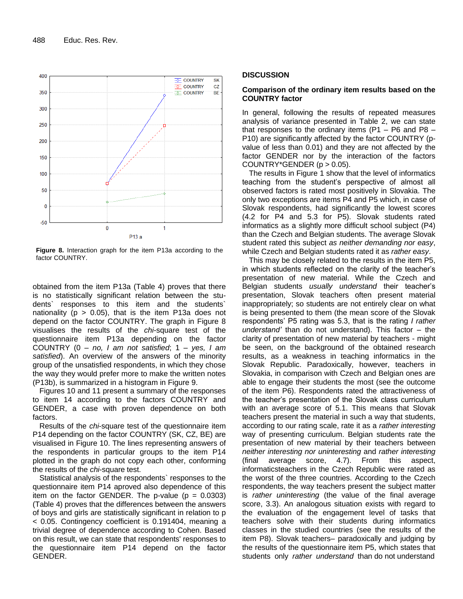

**Figure 8.** Interaction graph for the item P13a according to the factor COUNTRY.

obtained from the item P13a (Table 4) proves that there is no statistically significant relation between the students` responses to this item and the students` nationality ( $p > 0.05$ ), that is the item P13a does not depend on the factor COUNTRY. The graph in Figure 8 visualises the results of the *chi*-square test of the questionnaire item P13a depending on the factor COUNTRY (0 – *no, I am not satisfied*; 1 – *yes, I am satisfied*). An overview of the answers of the minority group of the unsatisfied respondents, in which they chose the way they would prefer more to make the written notes (P13b), is summarized in a histogram in Figure 9.

Figures 10 and 11 present a summary of the responses to item 14 according to the factors COUNTRY and GENDER, a case with proven dependence on both factors.

Results of the *chi*-square test of the questionnaire item P14 depending on the factor COUNTRY (SK, CZ, BE) are visualised in Figure 10. The lines representing answers of the respondents in particular groups to the item P14 plotted in the graph do not copy each other, conforming the results of the *chi*-square test.

Statistical analysis of the respondents` responses to the questionnaire item P14 aproved also dependence of this item on the factor GENDER. The p-value  $(p = 0.0303)$ (Table 4) proves that the differences between the answers of boys and girls are statistically significant in relation to p < 0.05. Contingency coefficient is 0.191404, meaning a trivial degree of dependence according to Cohen. Based on this result, we can state that respondents' responses to the questionnaire item P14 depend on the factor GENDER.

#### **DISCUSSION**

## **Comparison of the ordinary item results based on the COUNTRY factor**

In general, following the results of repeated measures analysis of variance presented in Table 2, we can state that responses to the ordinary items (P1 – P6 and P8 – P10) are significantly affected by the factor COUNTRY (pvalue of less than 0.01) and they are not affected by the factor GENDER nor by the interaction of the factors COUNTRY\*GENDER  $(p > 0.05)$ .

The results in Figure 1 show that the level of informatics teaching from the student's perspective of almost all observed factors is rated most positively in Slovakia. The only two exceptions are items P4 and P5 which, in case of Slovak respondents, had significantly the lowest scores (4.2 for P4 and 5.3 for P5). Slovak students rated informatics as a slightly more difficult school subject (P4) than the Czech and Belgian students. The average Slovak student rated this subject *as neither demanding nor easy*, while Czech and Belgian students rated it as *rather easy*.

This may be closely related to the results in the item P5, in which students reflected on the clarity of the teacher's presentation of new material. While the Czech and Belgian students *usually understand* their teacher's presentation, Slovak teachers often present material inappropriately; so students are not entirely clear on what is being presented to them (the mean score of the Slovak respondents' P5 rating was 5.3, that is the rating *I rather understand'* than do not understand). This factor – the clarity of presentation of new material by teachers - might be seen, on the background of the obtained research results, as a weakness in teaching informatics in the Slovak Republic. Paradoxically, however, teachers in Slovakia, in comparison with Czech and Belgian ones are able to engage their students the most (see the outcome of the item P6). Respondents rated the attractiveness of the teacher's presentation of the Slovak class curriculum with an average score of 5.1. This means that Slovak teachers present the material in such a way that students, according to our rating scale, rate it as a *rather interesting* way of presenting curriculum. Belgian students rate the presentation of new material by their teachers between *neither interesting nor uninteresting* and *rather interesting* (final average score, 4.7). From this aspect, informaticsteachers in the Czech Republic were rated as the worst of the three countries. According to the Czech respondents, the way teachers present the subject matter is *rather uninteresting* (the value of the final average score, 3.3). An analogous situation exists with regard to the evaluation of the engagement level of tasks that teachers solve with their students during informatics classes in the studied countries (see the results of the item P8). Slovak teachers– paradoxically and judging by the results of the questionnaire item P5, which states that students only *rather understand* than do not understand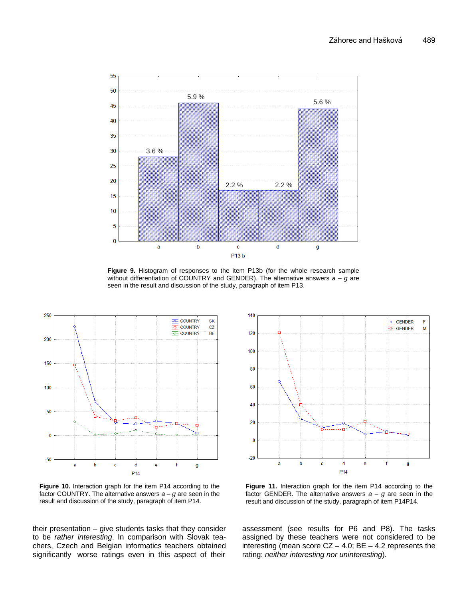

**Figure 9.** Histogram of responses to the item P13b (for the whole research sample without differentiation of COUNTRY and GENDER). The alternative answers  $a - g$  are seen in the result and discussion of the study, paragraph of item P13.



**Figure 10.** Interaction graph for the item P14 according to the Figure factor COUNTRY. The alternative answers *a* – *g* are seen in the result and discussion of the study, paragraph of item P14.

their presentation – give students tasks that they consider to be *rather interesting*. In comparison with Slovak teachers, Czech and Belgian informatics teachers obtained significantly worse ratings even in this aspect of their



o the **Figure 11.** Interaction graph for the item P14 according to the factor GENDER. The alternative answers  $a - g$  are seen in the result and discussion of the study, paragraph of item P14P14.

assessment (see results for P6 and P8). The tasks assigned by these teachers were not considered to be interesting (mean score  $CZ - 4.0$ ; BE  $- 4.2$  represents the rating: *neither interesting nor uninteresting*).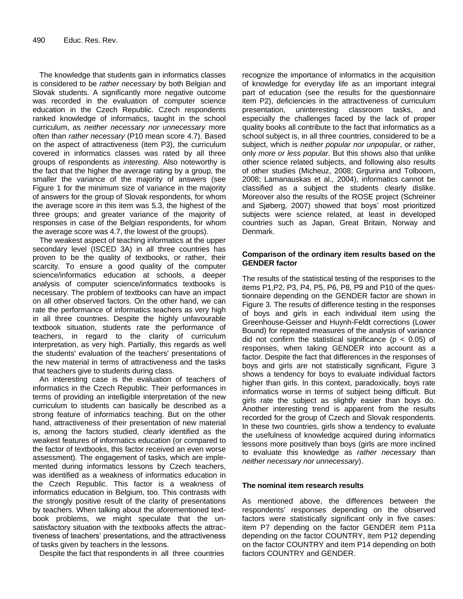The knowledge that students gain in informatics classes is considered to be *rather necessary* by both Belgian and Slovak students. A significantly more negative outcome was recorded in the evaluation of computer science education in the Czech Republic. Czech respondents ranked knowledge of informatics, taught in the school curriculum, as *neither necessary nor unnecessary* more often than *rather necessary* (P10 mean score 4.7). Based on the aspect of attractiveness (item P3), the curriculum covered in informatics classes was rated by all three groups of respondents as *interesting*. Also noteworthy is the fact that the higher the average rating by a group, the smaller the variance of the majority of answers (see Figure 1 for the minimum size of variance in the majority of answers for the group of Slovak respondents, for whom the average score in this item was 5.3, the highest of the three groups; and greater variance of the majority of responses in case of the Belgian respondents, for whom the average score was 4.7, the lowest of the groups).

The weakest aspect of teaching informatics at the upper secondary level (ISCED 3A) in all three countries has proven to be the quality of textbooks, or rather, their scarcity. To ensure a good quality of the computer science/informatics education at schools, a deeper analysis of computer science/informatics textbooks is necessary. The problem of textbooks can have an impact on all other observed factors. On the other hand, we can rate the performance of informatics teachers as very high in all three countries. Despite the highly unfavourable textbook situation, students rate the performance of teachers, in regard to the clarity of curriculum interpretation, as very high. Partially, this regards as well the students' evaluation of the teachers' presentations of the new material in terms of attractiveness and the tasks that teachers give to students during class.

An interesting case is the evaluation of teachers of informatics in the Czech Republic. Their performances in terms of providing an intelligible interpretation of the new curriculum to students can basically be described as a strong feature of informatics teaching. But on the other hand, attractiveness of their presentation of new material is, among the factors studied, clearly identified as the weakest features of informatics education (or compared to the factor of textbooks, this factor received an even worse assessment). The engagement of tasks, which are implemented during informatics lessons by Czech teachers, was identified as a weakness of informatics education in the Czech Republic. This factor is a weakness of informatics education in Belgium, too. This contrasts with the strongly positive result of the clarity of presentations by teachers. When talking about the aforementioned textbook problems, we might speculate that the unsatisfactory situation with the textbooks affects the attractiveness of teachers' presentations, and the attractiveness of tasks given by teachers in the lessons.

Despite the fact that respondents in all three countries

recognize the importance of informatics in the acquisition of knowledge for everyday life as an important integral part of education (see the results for the questionnaire item P2), deficiencies in the attractiveness of curriculum presentation, uninteresting classroom tasks, and especially the challenges faced by the lack of proper quality books all contribute to the fact that informatics as a school subject is, in all three countries, considered to be a subject, which is *neither popular nor unpopular*, or rather, only *more or less popular*. But this shows also that unlike other science related subjects, and following also results of other studies (Micheuz, 2008; Grgurina and Tolboom, 2008; Lamanauskas et al., 2004), informatics cannot be classified as a subject the students clearly dislike. Moreover also the results of the ROSE project (Schreiner and Sjøberg, 2007) showed that boys' most prioritized subjects were science related, at least in developed countries such as Japan, Great Britain, Norway and Denmark.

## **Comparison of the ordinary item results based on the GENDER factor**

The results of the statistical testing of the responses to the items P1,P2, P3, P4, P5, P6, P8, P9 and P10 of the questionnaire depending on the GENDER factor are shown in Figure 3. The results of difference testing in the responses of boys and girls in each individual item using the Greenhouse-Geisser and Huynh-Feldt corrections (Lower Bound) for repeated measures of the analysis of variance did not confirm the statistical significance ( $p < 0.05$ ) of responses, when taking GENDER into account as a factor. Despite the fact that differences in the responses of boys and girls are not statistically significant, Figure 3 shows a tendency for boys to evaluate individual factors higher than girls. In this context, paradoxically, boys rate informatics worse in terms of subject being difficult. But girls rate the subject as slightly easier than boys do. Another interesting trend is apparent from the results recorded for the group of Czech and Slovak respondents. In these two countries, girls show a tendency to evaluate the usefulness of knowledge acquired during informatics lessons more positively than boys (girls are more inclined to evaluate this knowledge as *rather necessary* than *neither necessary nor unnecessary*).

## **The nominal item research results**

As mentioned above, the differences between the respondents' responses depending on the observed factors were statistically significant only in five cases: item P7 depending on the factor GENDER item P11a depending on the factor COUNTRY, item P12 depending on the factor COUNTRY and item P14 depending on both factors COUNTRY and GENDER.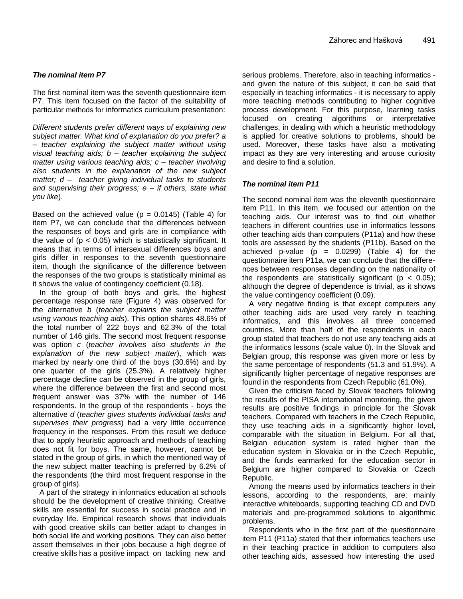# *The nominal item P7*

The first nominal item was the seventh questionnaire item P7. This item focused on the factor of the suitability of particular methods for informatics curriculum presentation:

*Different students prefer different ways of explaining new subject matter. What kind of explanation do you prefer? a – teacher explaining the subject matter without using visual teaching aids; b – teacher explaining the subject matter using various teaching aids; c – teacher involving also students in the explanation of the new subject matter; d – teacher giving individual tasks to students and supervising their progress; e – if others, state what you like*).

Based on the achieved value ( $p = 0.0145$ ) (Table 4) for item P7, we can conclude that the differences between the responses of boys and girls are in compliance with the value of  $(p < 0.05)$  which is statistically significant. It means that in terms of intersexual differences boys and girls differ in responses to the seventh questionnaire item, though the significance of the difference between the responses of the two groups is statistically minimal as it shows the value of contingency coefficient (0.18).

In the group of both boys and girls, the highest percentage response rate (Figure 4) was observed for the alternative *b* (*teacher explains the subject matter using various teaching aids*). This option shares 48.6% of the total number of 222 boys and 62.3% of the total number of 146 girls. The second most frequent response was option *c* (*teacher involves also students in the explanation of the new subject matter*), which was marked by nearly one third of the boys (30.6%) and by one quarter of the girls (25.3%). A relatively higher percentage decline can be observed in the group of girls, where the difference between the first and second most frequent answer was 37% with the number of 146 respondents. In the group of the respondents - boys the alternative *d* (*teacher gives students individual tasks and supervises their progress*) had a very little occurrence frequency in the responses. From this result we deduce that to apply heuristic approach and methods of teaching does not fit for boys. The same, however, cannot be stated in the group of girls, in which the mentioned way of the new subject matter teaching is preferred by 6.2% of the respondents (the third most frequent response in the group of girls).

A part of the strategy in informatics education at schools should be the development of creative thinking. Creative skills are essential for success in social practice and in everyday life. Empirical research shows that individuals with good creative skills can better adapt to changes in both social life and working positions. They can also better assert themselves in their jobs because a high degree of creative skills has a positive impact on tackling new and

serious problems. Therefore, also in teaching informatics and given the nature of this subject, it can be said that especially in teaching informatics - it is necessary to apply more teaching methods contributing to higher cognitive process development. For this purpose, learning tasks focused on creating algorithms or interpretative challenges, in dealing with which a heuristic methodology is applied for creative solutions to problems, should be used. Moreover, these tasks have also a motivating impact as they are very interesting and arouse curiosity and desire to find a solution.

## *The nominal item P11*

The second nominal item was the eleventh questionnaire item P11. In this item, we focused our attention on the teaching aids. Our interest was to find out whether teachers in different countries use in informatics lessons other teaching aids than computers (P11a) and how these tools are assessed by the students (P11b). Based on the achieved p-value  $(p = 0.0299)$  (Table 4) for the questionnaire item P11a, we can conclude that the differences between responses depending on the nationality of the respondents are statistically significant ( $p < 0.05$ ); although the degree of dependence is trivial, as it shows the value contingency coefficient (0.09).

A very negative finding is that except computers any other teaching aids are used very rarely in teaching informatics, and this involves all three concerned countries. More than half of the respondents in each group stated that teachers do not use any teaching aids at the informatics lessons (scale value 0). In the Slovak and Belgian group, this response was given more or less by the same percentage of respondents (51.3 and 51.9%). A significantly higher percentage of negative responses are found in the respondents from Czech Republic (61.0%).

Given the criticism faced by Slovak teachers following the results of the PISA international monitoring, the given results are positive findings in principle for the Slovak teachers. Compared with teachers in the Czech Republic, they use teaching aids in a significantly higher level, comparable with the situation in Belgium. For all that, Belgian education system is rated higher than the education system in Slovakia or in the Czech Republic, and the funds earmarked for the education sector in Belgium are higher compared to Slovakia or Czech Republic.

Among the means used by informatics teachers in their lessons, according to the respondents, are: mainly interactive whiteboards, supporting teaching CD and DVD materials and pre-programmed solutions to algorithmic problems.

Respondents who in the first part of the questionnaire item P11 (P11a) stated that their informatics teachers use in their teaching practice in addition to computers also other teaching aids, assessed how interesting the used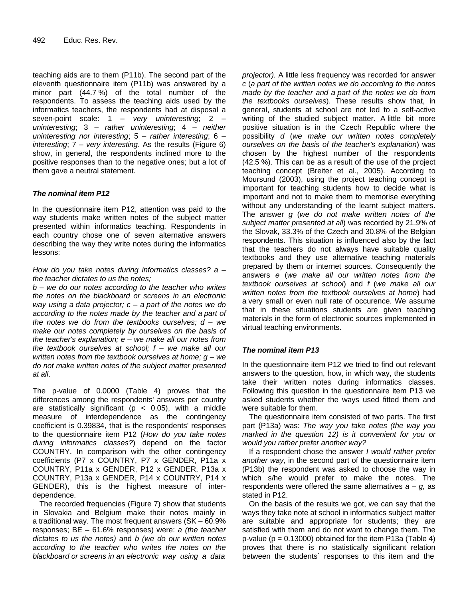teaching aids are to them (P11b). The second part of the eleventh questionnaire item (P11b) was answered by a minor part (44.7 %) of the total number of the respondents. To assess the teaching aids used by the informatics teachers, the respondents had at disposal a seven-point scale: 1 – *very uninteresting*; 2 – *uninteresting*; 3 – *rather uninteresting*; 4 – *neither uninteresting nor interesting*; 5 – *rather interesting*; 6 – *interesting*; 7 – *very interesting*. As the results (Figure 6) show, in general, the respondents inclined more to the positive responses than to the negative ones; but a lot of them gave a neutral statement.

# *The nominal item P12*

In the questionnaire item P12, attention was paid to the way students make written notes of the subject matter presented within informatics teaching. Respondents in each country chose one of seven alternative answers describing the way they write notes during the informatics lessons:

#### *How do you take notes during informatics classes? a – the teacher dictates to us the notes;*

*b – we do our notes according to the teacher who writes the notes on the blackboard or screens in an electronic way using a data projector; c – a part of the notes we do according to the notes made by the teacher and a part of the notes we do from the textbooks ourselves; d – we make our notes completely by ourselves on the basis of the teacher's explanation; e – we make all our notes from the textbook ourselves at school; f – we make all our written notes from the textbook ourselves at home; g – we do not make written notes of the subject matter presented at all*.

The p-value of 0.0000 (Table 4) proves that the differences among the respondents' answers per country are statistically significant ( $p < 0.05$ ), with a middle measure of interdependence as the contingency coefficient is 0.39834, that is the respondents' responses to the questionnaire item P12 (*How do you take notes during informatics classes?*) depend on the factor COUNTRY. In comparison with the other contingency coefficients (P7 x COUNTRY, P7 x GENDER, P11a x COUNTRY, P11a x GENDER, P12 x GENDER, P13a x COUNTRY, P13a x GENDER, P14 x COUNTRY, P14 x GENDER), this is the highest measure of interdependence.

The recorded frequencies (Figure 7) show that students in Slovakia and Belgium make their notes mainly in a traditional way. The most frequent answers (SK – 60.9% responses; BE – 61.6% responses) were: *a (the teacher dictates to us the notes)* and *b (we do our written notes according to the teacher who writes the notes on the blackboard or screens in an electronic way using a data*

*projector).* A little less frequency was recorded for answer *c* (*a part of the written notes we do according to the notes made by the teacher and a part of the notes we do from the textbooks ourselves*). These results show that, in general, students at school are not led to a self-active writing of the studied subject matter. A little bit more positive situation is in the Czech Republic where the possibility *d* (*we make our written notes completely ourselves on the basis of the teacher's explanation*) was chosen by the highest number of the respondents (42.5 %). This can be as a result of the use of the project teaching concept (Breiter et al., 2005). According to Moursund (2003), using the project teaching concept is important for teaching students how to decide what is important and not to make them to memorise everything without any understanding of the learnt subject matters. The answer *g* (*we do not make written notes of the subject matter presented at all*) was recorded by 21.9% of the Slovak, 33.3% of the Czech and 30.8% of the Belgian respondents. This situation is influenced also by the fact that the teachers do not always have suitable quality textbooks and they use alternative teaching materials prepared by them or internet sources. Consequently the answers *e* (*we make all our written notes from the textbook ourselves at school*) and *f* (*we make all our written notes from the textbook ourselves at home*) had a very small or even null rate of occurence. We assume that in these situations students are given teaching materials in the form of electronic sources implemented in virtual teaching environments.

# *The nominal item P13*

In the questionnaire item P12 we tried to find out relevant answers to the question, how, in which way, the students take their written notes during informatics classes. Following this question in the questionnaire item P13 we asked students whether the ways used fitted them and were suitable for them.

The questionnaire item consisted of two parts. The first part (P13a) was: *The way you take notes (the way you marked in the question 12) is it convenient for you or would you rather prefer another way?*

If a respondent chose the answer *I would rather prefer another way*, in the second part of the questionnaire item (P13b) the respondent was asked to choose the way in which s/he would prefer to make the notes. The respondents were offered the same alternatives *a – g,* as stated in P12.

On the basis of the results we got, we can say that the ways they take note at school in informatics subject matter are suitable and appropriate for students; they are satisfied with them and do not want to change them. The p-value ( $p = 0.13000$ ) obtained for the item P13a (Table 4) proves that there is no statistically significant relation between the students` responses to this item and the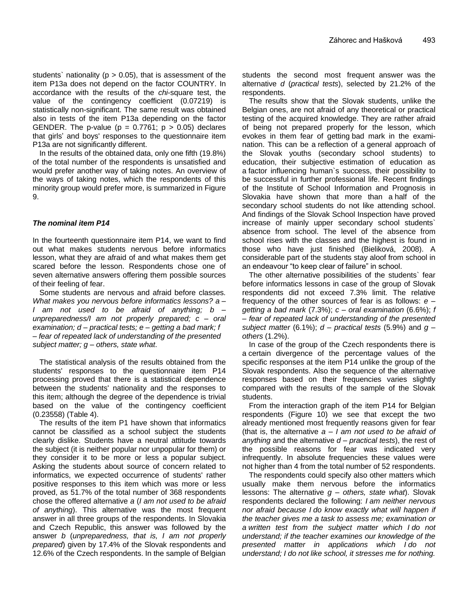students' nationality ( $p > 0.05$ ), that is assessment of the item P13a does not depend on the factor COUNTRY. In accordance with the results of the *chi*-square test, the value of the contingency coefficient (0.07219) is statistically non-significant. The same result was obtained also in tests of the item P13a depending on the factor GENDER. The p-value ( $p = 0.7761$ ;  $p > 0.05$ ) declares that girls' and boys' responses to the questionnaire item P13a are not significantly different.

In the results of the obtained data, only one fifth (19.8%) of the total number of the respondents is unsatisfied and would prefer another way of taking notes. An overview of the ways of taking notes, which the respondents of this minority group would prefer more, is summarized in Figure 9.

# *The nominal item P14*

In the fourteenth questionnaire item P14, we want to find out what makes students nervous before informatics lesson, what they are afraid of and what makes them get scared before the lesson. Respondents chose one of seven alternative answers offering them possible sources of their feeling of fear.

Some students are nervous and afraid before classes*. What makes you nervous before informatics lessons? a – I am not used to be afraid of anything; b – unpreparedness/I am not properly prepared; c – oral examination; d – practical tests; e – getting a bad mark; f – fear of repeated lack of understanding of the presented subject matter; g – others, state what*.

The statistical analysis of the results obtained from the students' responses to the questionnaire item P14 processing proved that there is a statistical dependence between the students' nationality and the responses to this item; although the degree of the dependence is trivial based on the value of the contingency coefficient (0.23558) (Table 4).

The results of the item P1 have shown that informatics cannot be classified as a school subject the students clearly dislike. Students have a neutral attitude towards the subject (it is neither popular nor unpopular for them) or they consider it to be more or less a popular subject. Asking the students about source of concern related to informatics, we expected occurrence of students' rather positive responses to this item which was more or less proved, as 51.7% of the total number of 368 respondents chose the offered alternative *a* (*I am not used to be afraid of anything*). This alternative was the most frequent answer in all three groups of the respondents. In Slovakia and Czech Republic, this answer was followed by the answer *b* (*unpreparedness, that is, I am not properly prepared*) given by 17.4% of the Slovak respondents and 12.6% of the Czech respondents. In the sample of Belgian

students the second most frequent answer was the alternative *d* (*practical tests*), selected by 21.2% of the respondents.

The results show that the Slovak students, unlike the Belgian ones, are not afraid of any theoretical or practical testing of the acquired knowledge. They are rather afraid of being not prepared properly for the lesson, which evokes in them fear of getting bad mark in the examination. This can be a reflection of a general approach of the Slovak youths (secondary school students) to education, their subjective estimation of education as a factor influencing human`s success, their possibility to be successful in further professional life. Recent findings of the Institute of School Information and Prognosis in Slovakia have shown that more than a half of the secondary school students do not like attending school. And findings of the Slovak School Inspection have proved increase of mainly upper secondary school students` absence from school. The level of the absence from school rises with the classes and the highest is found in those who have just finished (Bieliková, 2008). A considerable part of the students stay aloof from school in an endeavour "to keep clear of failure" in school.

The other alternative possibilities of the students` fear before informatics lessons in case of the group of Slovak respondents did not exceed 7.3% limit. The relative frequency of the other sources of fear is as follows: *e – getting a bad mark* (7.3%); *c – oral examination* (6.6%); *f – fear of repeated lack of understanding of the presented subject matter* (6.1%); *d – practical tests* (5.9%) and *g – others* (1.2%).

In case of the group of the Czech respondents there is a certain divergence of the percentage values of the specific responses at the item P14 unlike the group of the Slovak respondents. Also the sequence of the alternative responses based on their frequencies varies slightly compared with the results of the sample of the Slovak students.

From the interaction graph of the item P14 for Belgian respondents (Figure 10) we see that except the two already mentioned most frequently reasons given for fear (that is, the alternative *a – I am not used to be afraid of anything* and the alternative *d – practical tests*), the rest of the possible reasons for fear was indicated very infrequently. In absolute frequencies these values were not higher than 4 from the total number of 52 respondents.

The respondents could specify also other matters which usually make them nervous before the informatics lessons: The alternative *g – others, state what*). Slovak respondents declared the following: *I am neither nervous nor afraid because I do know exactly what will happen if the teacher gives me a task to assess me; examination or a written test from the subject matter which I do not understand; if the teacher examines our knowledge of the presented matter in applications which I do not understand; I do not like school, it stresses me for nothing.*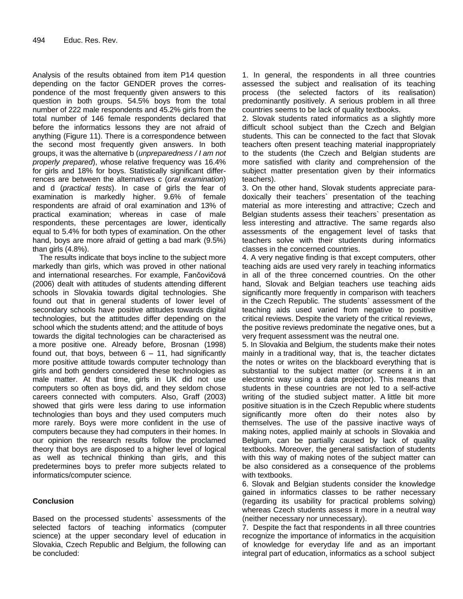Analysis of the results obtained from item P14 question depending on the factor GENDER proves the correspondence of the most frequently given answers to this question in both groups. 54.5% boys from the total number of 222 male respondents and 45.2% girls from the total number of 146 female respondents declared that before the informatics lessons they are not afraid of anything (Figure 11). There is a correspondence between the second most frequently given answers. In both groups, it was the alternative b (*unpreparedness / I am not properly prepared*), whose relative frequency was 16.4% for girls and 18% for boys. Statistically significant differrences are between the alternatives c (*oral examination*) and d (*practical tests*). In case of girls the fear of examination is markedly higher. 9.6% of female respondents are afraid of oral examination and 13% of practical examination; whereas in case of male respondents, these percentages are lower, identically equal to 5.4% for both types of examination. On the other hand, boys are more afraid of getting a bad mark (9.5%) than girls (4.8%).

The results indicate that boys incline to the subject more markedly than girls, which was proved in other national and international researches. For example, Fančovičová (2006) dealt with attitudes of students attending different schools in Slovakia towards digital technologies. She found out that in general students of lower level of secondary schools have positive attitudes towards digital technologies, but the attittudes differ depending on the school which the students attend; and the attitude of boys towards the digital technologies can be characterised as a more positive one. Already before, Brosnan (1998) found out, that boys, between  $6 - 11$ , had significantly more positive attitude towards computer technology than girls and both genders considered these technologies as male matter. At that time, girls in UK did not use computers so often as boys did, and they seldom chose careers connected with computers. Also, Graff (2003) showed that girls were less daring to use information technologies than boys and they used computers much more rarely. Boys were more confident in the use of computers because they had computers in their homes. In our opinion the research results follow the proclamed theory that boys are disposed to a higher level of logical as well as technical thinking than girls, and this predetermines boys to prefer more subjects related to informatics/computer science.

# **Conclusion**

Based on the processed students` assessments of the selected factors of teaching informatics (computer science) at the upper secondary level of education in Slovakia, Czech Republic and Belgium, the following can be concluded:

1. In general, the respondents in all three countries assessed the subject and realisation of its teaching process (the selected factors of its realisation) predominantly positively. A serious problem in all three countries seems to be lack of quality textbooks.

2. Slovak students rated informatics as a slightly more difficult school subject than the Czech and Belgian students. This can be connected to the fact that Slovak teachers often present teaching material inappropriately to the students (the Czech and Belgian students are more satisfied with clarity and comprehension of the subject matter presentation given by their informatics teachers).

3. On the other hand, Slovak students appreciate paradoxically their teachers` presentation of the teaching material as more interesting and attractive; Czech and Belgian students assess their teachers` presentation as less interesting and attractive. The same regards also assessments of the engagement level of tasks that teachers solve with their students during informatics classes in the concerned countries.

4. A very negative finding is that except computers, other teaching aids are used very rarely in teaching informatics in all of the three concerned countries. On the other hand, Slovak and Belgian teachers use teaching aids significantly more frequently in comparison with teachers in the Czech Republic. The students` assessment of the teaching aids used varied from negative to positive critical reviews. Despite the variety of the critical reviews, the positive reviews predominate the negative ones, but a very frequent assessment was the neutral one.

5. In Slovakia and Belgium, the students make their notes mainly in a traditional way, that is, the teacher dictates the notes or writes on the blackboard everything that is substantial to the subject matter (or screens it in an electronic way using a data projector). This means that students in these countries are not led to a self-active writing of the studied subject matter. A little bit more positive situation is in the Czech Republic where students significantly more often do their notes also by themselves. The use of the passive inactive ways of making notes, applied mainly at schools in Slovakia and Belgium, can be partially caused by lack of quality textbooks. Moreover, the general satisfaction of students with this way of making notes of the subject matter can be also considered as a consequence of the problems with textbooks.

6. Slovak and Belgian students consider the knowledge gained in informatics classes to be rather necessary (regarding its usability for practical problems solving) whereas Czech students assess it more in a neutral way (neither necessary nor unnecessary).

7. Despite the fact that respondents in all three countries recognize the importance of informatics in the acquisition of knowledge for everyday life and as an important integral part of education, informatics as a school subject